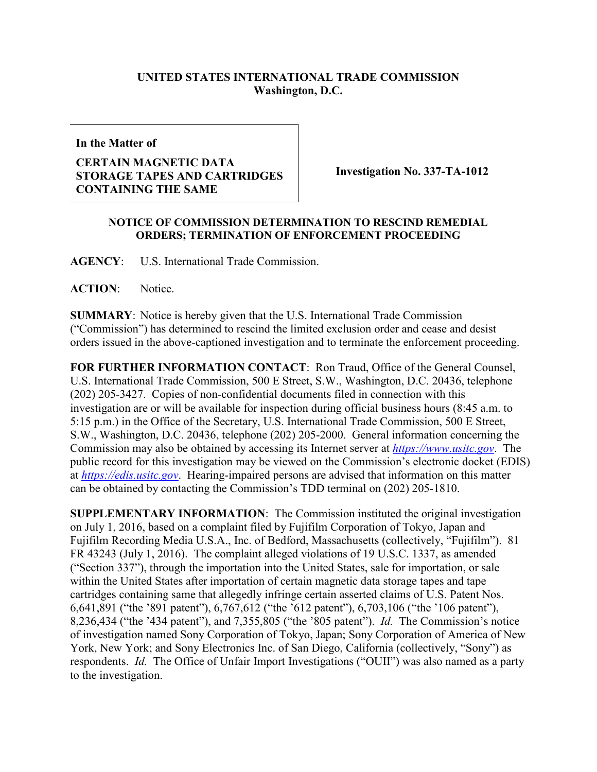## **UNITED STATES INTERNATIONAL TRADE COMMISSION Washington, D.C.**

**In the Matter of**

## **CERTAIN MAGNETIC DATA STORAGE TAPES AND CARTRIDGES CONTAINING THE SAME**

**Investigation No. 337-TA-1012**

## **NOTICE OF COMMISSION DETERMINATION TO RESCIND REMEDIAL ORDERS; TERMINATION OF ENFORCEMENT PROCEEDING**

**AGENCY**: U.S. International Trade Commission.

**ACTION**: Notice.

**SUMMARY**: Notice is hereby given that the U.S. International Trade Commission ("Commission") has determined to rescind the limited exclusion order and cease and desist orders issued in the above-captioned investigation and to terminate the enforcement proceeding.

**FOR FURTHER INFORMATION CONTACT**: Ron Traud, Office of the General Counsel, U.S. International Trade Commission, 500 E Street, S.W., Washington, D.C. 20436, telephone (202) 205-3427. Copies of non-confidential documents filed in connection with this investigation are or will be available for inspection during official business hours (8:45 a.m. to 5:15 p.m.) in the Office of the Secretary, U.S. International Trade Commission, 500 E Street, S.W., Washington, D.C. 20436, telephone (202) 205-2000. General information concerning the Commission may also be obtained by accessing its Internet server at *[https://www.usitc.gov](https://www.usitc.gov/)*. The public record for this investigation may be viewed on the Commission's electronic docket (EDIS) at *[https://edis.usitc.gov](https://edis.usitc.gov/)*. Hearing-impaired persons are advised that information on this matter can be obtained by contacting the Commission's TDD terminal on (202) 205-1810.

**SUPPLEMENTARY INFORMATION**: The Commission instituted the original investigation on July 1, 2016, based on a complaint filed by Fujifilm Corporation of Tokyo, Japan and Fujifilm Recording Media U.S.A., Inc. of Bedford, Massachusetts (collectively, "Fujifilm"). 81 FR 43243 (July 1, 2016). The complaint alleged violations of 19 U.S.C. 1337, as amended ("Section 337"), through the importation into the United States, sale for importation, or sale within the United States after importation of certain magnetic data storage tapes and tape cartridges containing same that allegedly infringe certain asserted claims of U.S. Patent Nos. 6,641,891 ("the '891 patent"), 6,767,612 ("the '612 patent"), 6,703,106 ("the '106 patent"), 8,236,434 ("the '434 patent"), and 7,355,805 ("the '805 patent"). *Id.* The Commission's notice of investigation named Sony Corporation of Tokyo, Japan; Sony Corporation of America of New York, New York; and Sony Electronics Inc. of San Diego, California (collectively, "Sony") as respondents. *Id.* The Office of Unfair Import Investigations ("OUII") was also named as a party to the investigation.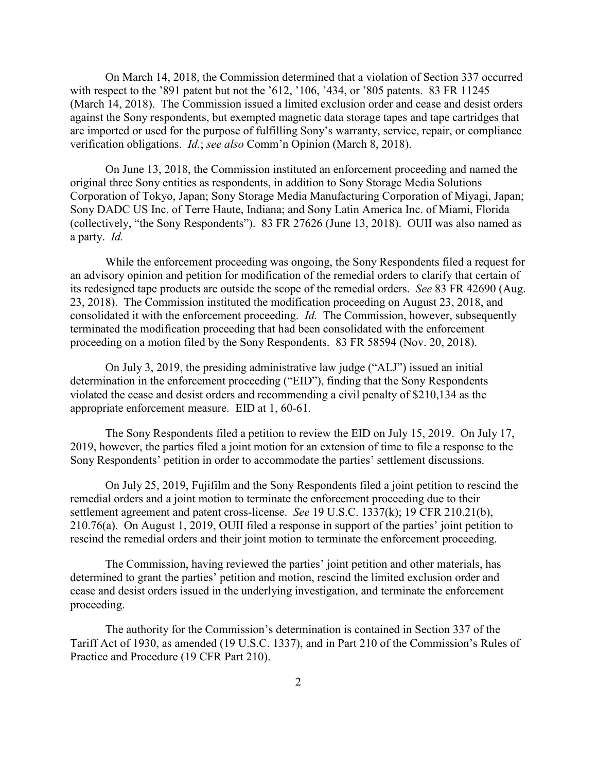On March 14, 2018, the Commission determined that a violation of Section 337 occurred with respect to the '891 patent but not the '612, '106, '434, or '805 patents. 83 FR 11245 (March 14, 2018). The Commission issued a limited exclusion order and cease and desist orders against the Sony respondents, but exempted magnetic data storage tapes and tape cartridges that are imported or used for the purpose of fulfilling Sony's warranty, service, repair, or compliance verification obligations. *Id.*; *see also* Comm'n Opinion (March 8, 2018).

On June 13, 2018, the Commission instituted an enforcement proceeding and named the original three Sony entities as respondents, in addition to Sony Storage Media Solutions Corporation of Tokyo, Japan; Sony Storage Media Manufacturing Corporation of Miyagi, Japan; Sony DADC US Inc. of Terre Haute, Indiana; and Sony Latin America Inc. of Miami, Florida (collectively, "the Sony Respondents"). 83 FR 27626 (June 13, 2018). OUII was also named as a party. *Id.*

While the enforcement proceeding was ongoing, the Sony Respondents filed a request for an advisory opinion and petition for modification of the remedial orders to clarify that certain of its redesigned tape products are outside the scope of the remedial orders. *See* 83 FR 42690 (Aug. 23, 2018). The Commission instituted the modification proceeding on August 23, 2018, and consolidated it with the enforcement proceeding. *Id.* The Commission, however, subsequently terminated the modification proceeding that had been consolidated with the enforcement proceeding on a motion filed by the Sony Respondents. 83 FR 58594 (Nov. 20, 2018).

On July 3, 2019, the presiding administrative law judge ("ALJ") issued an initial determination in the enforcement proceeding ("EID"), finding that the Sony Respondents violated the cease and desist orders and recommending a civil penalty of \$210,134 as the appropriate enforcement measure. EID at 1, 60-61.

The Sony Respondents filed a petition to review the EID on July 15, 2019. On July 17, 2019, however, the parties filed a joint motion for an extension of time to file a response to the Sony Respondents' petition in order to accommodate the parties' settlement discussions.

On July 25, 2019, Fujifilm and the Sony Respondents filed a joint petition to rescind the remedial orders and a joint motion to terminate the enforcement proceeding due to their settlement agreement and patent cross-license. *See* 19 U.S.C. 1337(k); 19 CFR 210.21(b), 210.76(a). On August 1, 2019, OUII filed a response in support of the parties' joint petition to rescind the remedial orders and their joint motion to terminate the enforcement proceeding.

The Commission, having reviewed the parties' joint petition and other materials, has determined to grant the parties' petition and motion, rescind the limited exclusion order and cease and desist orders issued in the underlying investigation, and terminate the enforcement proceeding.

The authority for the Commission's determination is contained in Section 337 of the Tariff Act of 1930, as amended (19 U.S.C. 1337), and in Part 210 of the Commission's Rules of Practice and Procedure (19 CFR Part 210).